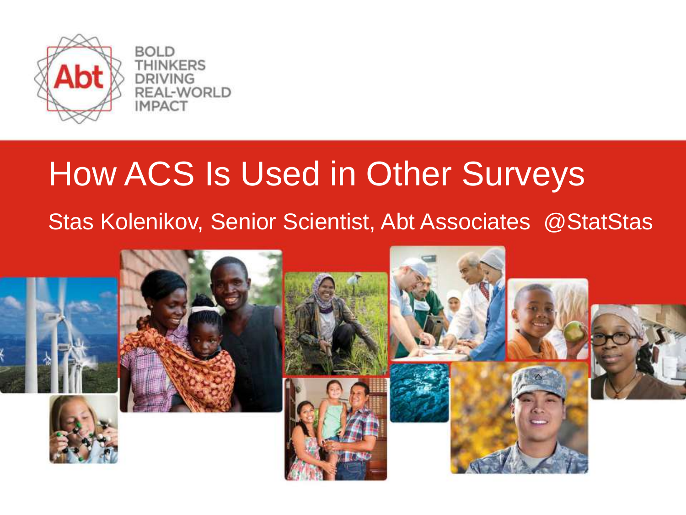

**BOLD NKERS** REAL-WORLD **IMPACT** 

#### How ACS Is Used in Other Surveys

#### Stas Kolenikov, Senior Scientist, Abt Associates @StatStas

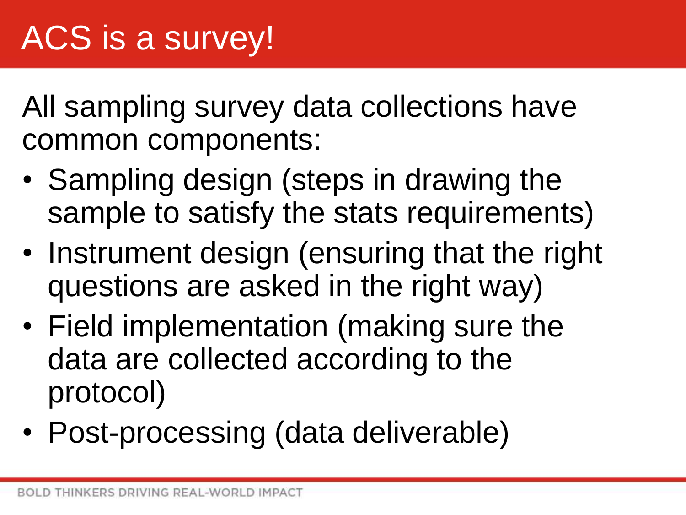All sampling survey data collections have common components:

- Sampling design (steps in drawing the sample to satisfy the stats requirements)
- Instrument design (ensuring that the right questions are asked in the right way)
- Field implementation (making sure the data are collected according to the protocol)
- Post-processing (data deliverable)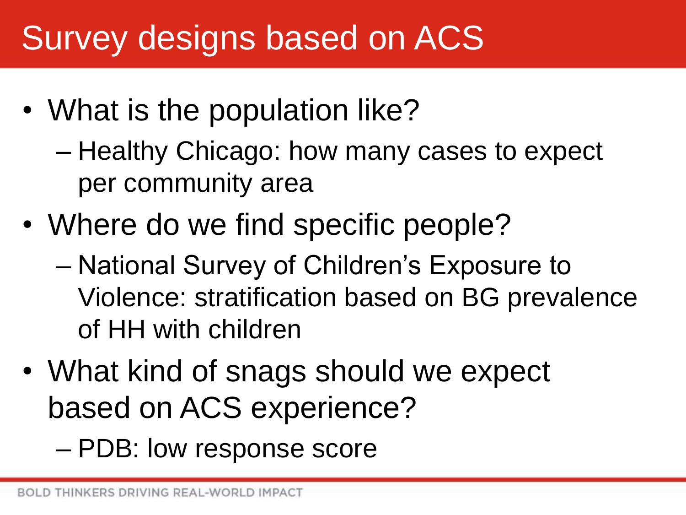## Survey designs based on ACS

- What is the population like?
	- Healthy Chicago: how many cases to expect per community area
- Where do we find specific people?
	- National Survey of Children's Exposure to Violence: stratification based on BG prevalence of HH with children
- What kind of snags should we expect based on ACS experience?
	- PDB: low response score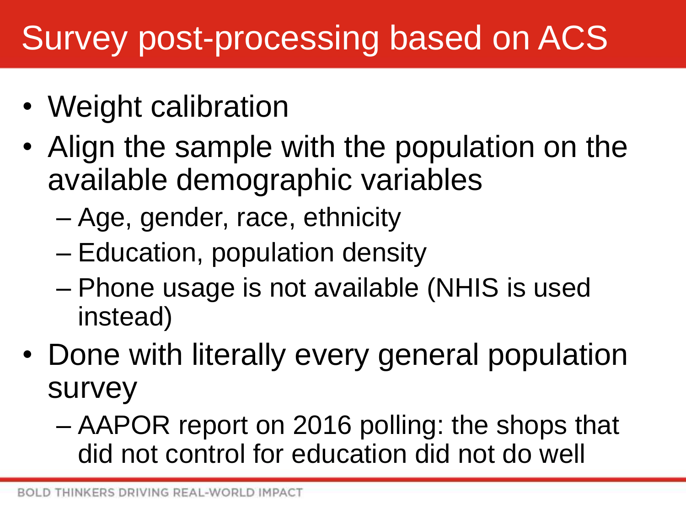## Survey post-processing based on ACS

- Weight calibration
- Align the sample with the population on the available demographic variables
	- Age, gender, race, ethnicity
	- Education, population density
	- Phone usage is not available (NHIS is used instead)
- Done with literally every general population survey
	- AAPOR report on 2016 polling: the shops that did not control for education did not do well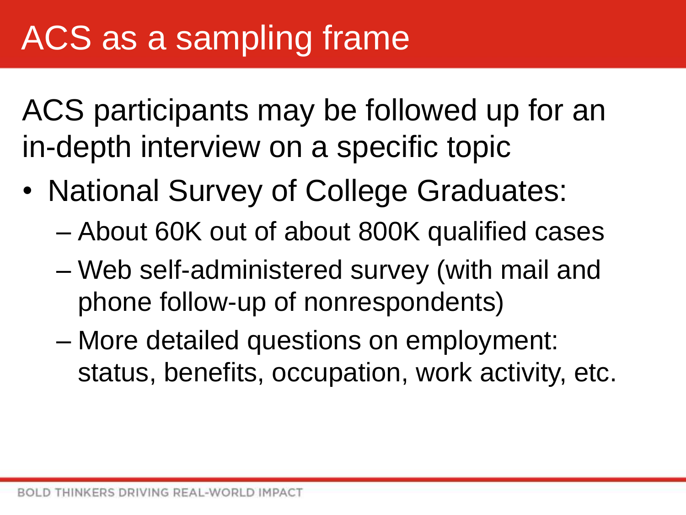ACS participants may be followed up for an in-depth interview on a specific topic

- National Survey of College Graduates:
	- About 60K out of about 800K qualified cases
	- Web self-administered survey (with mail and phone follow-up of nonrespondents)
	- More detailed questions on employment: status, benefits, occupation, work activity, etc.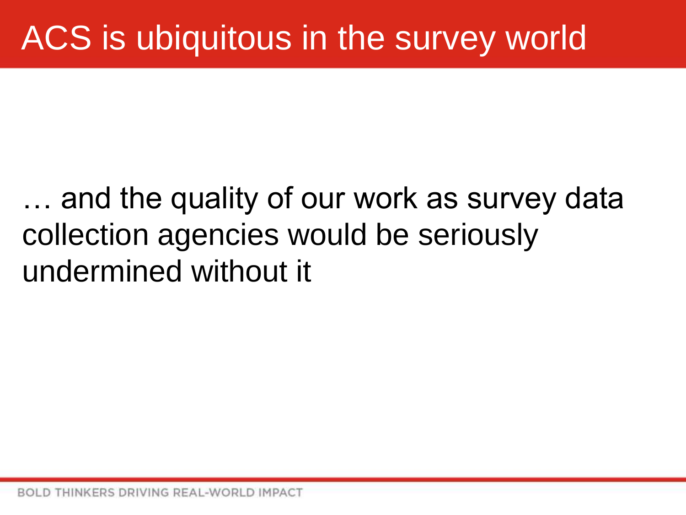## ACS is ubiquitous in the survey world

#### … and the quality of our work as survey data collection agencies would be seriously undermined without it